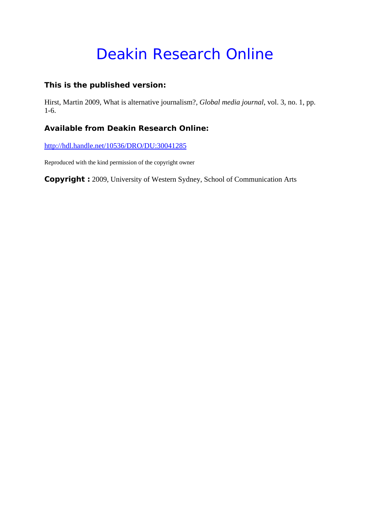# Deakin Research Online

## **This is the published version:**

Hirst, Martin 2009, What is alternative journalism?*, Global media journal*, vol. 3, no. 1, pp. 1-6.

## **Available from Deakin Research Online:**

http://hdl.handle.net/10536/DRO/DU:30041285

Reproduced with the kind permission of the copyright owner

**Copyright :** 2009, University of Western Sydney, School of Communication Arts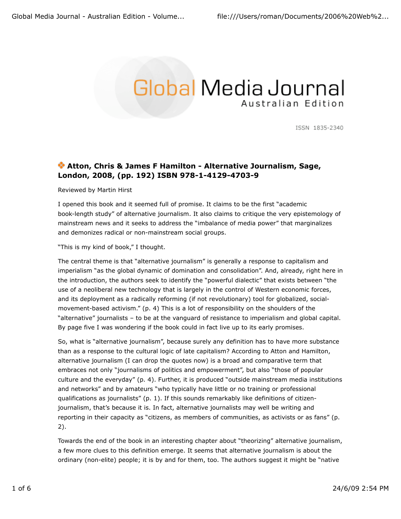## **Global Media Journal** Australian Edition

ISSN 1835-2340

### **Atton, Chris & James F Hamilton - Alternative Journalism, Sage, London, 2008, (pp. 192) ISBN 978-1-4129-4703-9**

Reviewed by Martin Hirst

I opened this book and it seemed full of promise. It claims to be the first "academic book-length study" of alternative journalism. It also claims to critique the very epistemology of mainstream news and it seeks to address the "imbalance of media power" that marginalizes and demonizes radical or non-mainstream social groups.

"This is my kind of book," I thought.

The central theme is that "alternative journalism" is generally a response to capitalism and imperialism "as the global dynamic of domination and consolidation". And, already, right here in the introduction, the authors seek to identify the "powerful dialectic" that exists between "the use of a neoliberal new technology that is largely in the control of Western economic forces, and its deployment as a radically reforming (if not revolutionary) tool for globalized, socialmovement-based activism." (p. 4) This is a lot of responsibility on the shoulders of the "alternative" journalists – to be at the vanguard of resistance to imperialism and global capital. By page five I was wondering if the book could in fact live up to its early promises.

So, what is "alternative journalism", because surely any definition has to have more substance than as a response to the cultural logic of late capitalism? According to Atton and Hamilton, alternative journalism (I can drop the quotes now) is a broad and comparative term that embraces not only "journalisms of politics and empowerment", but also "those of popular culture and the everyday" (p. 4). Further, it is produced "outside mainstream media institutions and networks" and by amateurs "who typically have little or no training or professional qualifications as journalists" (p. 1). If this sounds remarkably like definitions of citizenjournalism, that's because it is. In fact, alternative journalists may well be writing and reporting in their capacity as "citizens, as members of communities, as activists or as fans" (p. 2).

Towards the end of the book in an interesting chapter about "theorizing" alternative journalism, a few more clues to this definition emerge. It seems that alternative journalism is about the ordinary (non-elite) people; it is by and for them, too. The authors suggest it might be "native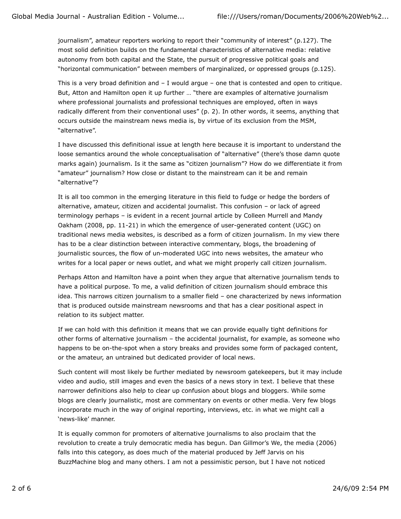journalism", amateur reporters working to report their "community of interest" (p.127). The most solid definition builds on the fundamental characteristics of alternative media: relative autonomy from both capital and the State, the pursuit of progressive political goals and "horizontal communication" between members of marginalized, or oppressed groups (p.125).

This is a very broad definition and – I would argue – one that is contested and open to critique. But, Atton and Hamilton open it up further … "there are examples of alternative journalism where professional journalists and professional techniques are employed, often in ways radically different from their conventional uses" (p. 2). In other words, it seems, anything that occurs outside the mainstream news media is, by virtue of its exclusion from the MSM, "alternative".

I have discussed this definitional issue at length here because it is important to understand the loose semantics around the whole conceptualisation of "alternative" (there's those damn quote marks again) journalism. Is it the same as "citizen journalism"? How do we differentiate it from "amateur" journalism? How close or distant to the mainstream can it be and remain "alternative"?

It is all too common in the emerging literature in this field to fudge or hedge the borders of alternative, amateur, citizen and accidental journalist. This confusion – or lack of agreed terminology perhaps – is evident in a recent journal article by Colleen Murrell and Mandy Oakham (2008, pp. 11-21) in which the emergence of user-generated content (UGC) on traditional news media websites, is described as a form of citizen journalism. In my view there has to be a clear distinction between interactive commentary, blogs, the broadening of journalistic sources, the flow of un-moderated UGC into news websites, the amateur who writes for a local paper or news outlet, and what we might properly call citizen journalism.

Perhaps Atton and Hamilton have a point when they argue that alternative journalism tends to have a political purpose. To me, a valid definition of citizen journalism should embrace this idea. This narrows citizen journalism to a smaller field – one characterized by news information that is produced outside mainstream newsrooms and that has a clear positional aspect in relation to its subject matter.

If we can hold with this definition it means that we can provide equally tight definitions for other forms of alternative journalism – the accidental journalist, for example, as someone who happens to be on-the-spot when a story breaks and provides some form of packaged content, or the amateur, an untrained but dedicated provider of local news.

Such content will most likely be further mediated by newsroom gatekeepers, but it may include video and audio, still images and even the basics of a news story in text. I believe that these narrower definitions also help to clear up confusion about blogs and bloggers. While some blogs are clearly journalistic, most are commentary on events or other media. Very few blogs incorporate much in the way of original reporting, interviews, etc. in what we might call a 'news-like' manner.

It is equally common for promoters of alternative journalisms to also proclaim that the revolution to create a truly democratic media has begun. Dan Gillmor's We, the media (2006) falls into this category, as does much of the material produced by Jeff Jarvis on his BuzzMachine blog and many others. I am not a pessimistic person, but I have not noticed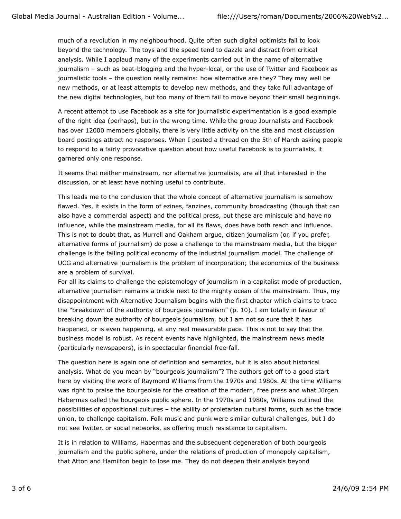much of a revolution in my neighbourhood. Quite often such digital optimists fail to look beyond the technology. The toys and the speed tend to dazzle and distract from critical analysis. While I applaud many of the experiments carried out in the name of alternative journalism – such as beat-blogging and the hyper-local, or the use of Twitter and Facebook as journalistic tools – the question really remains: how alternative are they? They may well be new methods, or at least attempts to develop new methods, and they take full advantage of the new digital technologies, but too many of them fail to move beyond their small beginnings.

A recent attempt to use Facebook as a site for journalistic experimentation is a good example of the right idea (perhaps), but in the wrong time. While the group Journalists and Facebook has over 12000 members globally, there is very little activity on the site and most discussion board postings attract no responses. When I posted a thread on the 5th of March asking people to respond to a fairly provocative question about how useful Facebook is to journalists, it garnered only one response.

It seems that neither mainstream, nor alternative journalists, are all that interested in the discussion, or at least have nothing useful to contribute.

This leads me to the conclusion that the whole concept of alternative journalism is somehow flawed. Yes, it exists in the form of ezines, fanzines, community broadcasting (though that can also have a commercial aspect) and the political press, but these are miniscule and have no influence, while the mainstream media, for all its flaws, does have both reach and influence. This is not to doubt that, as Murrell and Oakham argue, citizen journalism (or, if you prefer, alternative forms of journalism) do pose a challenge to the mainstream media, but the bigger challenge is the failing political economy of the industrial journalism model. The challenge of UCG and alternative journalism is the problem of incorporation; the economics of the business are a problem of survival.

For all its claims to challenge the epistemology of journalism in a capitalist mode of production, alternative journalism remains a trickle next to the mighty ocean of the mainstream. Thus, my disappointment with Alternative Journalism begins with the first chapter which claims to trace the "breakdown of the authority of bourgeois journalism" (p. 10). I am totally in favour of breaking down the authority of bourgeois journalism, but I am not so sure that it has happened, or is even happening, at any real measurable pace. This is not to say that the business model is robust. As recent events have highlighted, the mainstream news media (particularly newspapers), is in spectacular financial free-fall.

The question here is again one of definition and semantics, but it is also about historical analysis. What do you mean by "bourgeois journalism"? The authors get off to a good start here by visiting the work of Raymond Williams from the 1970s and 1980s. At the time Williams was right to praise the bourgeoisie for the creation of the modern, free press and what Jürgen Habermas called the bourgeois public sphere. In the 1970s and 1980s, Williams outlined the possibilities of oppositional cultures – the ability of proletarian cultural forms, such as the trade union, to challenge capitalism. Folk music and punk were similar cultural challenges, but I do not see Twitter, or social networks, as offering much resistance to capitalism.

It is in relation to Williams, Habermas and the subsequent degeneration of both bourgeois journalism and the public sphere, under the relations of production of monopoly capitalism, that Atton and Hamilton begin to lose me. They do not deepen their analysis beyond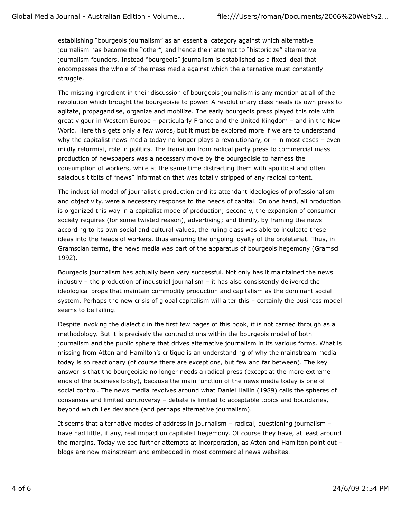establishing "bourgeois journalism" as an essential category against which alternative journalism has become the "other", and hence their attempt to "historicize" alternative journalism founders. Instead "bourgeois" journalism is established as a fixed ideal that encompasses the whole of the mass media against which the alternative must constantly struggle.

The missing ingredient in their discussion of bourgeois journalism is any mention at all of the revolution which brought the bourgeoisie to power. A revolutionary class needs its own press to agitate, propagandise, organize and mobilize. The early bourgeois press played this role with great vigour in Western Europe – particularly France and the United Kingdom – and in the New World. Here this gets only a few words, but it must be explored more if we are to understand why the capitalist news media today no longer plays a revolutionary, or - in most cases - even mildly reformist, role in politics. The transition from radical party press to commercial mass production of newspapers was a necessary move by the bourgeoisie to harness the consumption of workers, while at the same time distracting them with apolitical and often salacious titbits of "news" information that was totally stripped of any radical content.

The industrial model of journalistic production and its attendant ideologies of professionalism and objectivity, were a necessary response to the needs of capital. On one hand, all production is organized this way in a capitalist mode of production; secondly, the expansion of consumer society requires (for some twisted reason), advertising; and thirdly, by framing the news according to its own social and cultural values, the ruling class was able to inculcate these ideas into the heads of workers, thus ensuring the ongoing loyalty of the proletariat. Thus, in Gramscian terms, the news media was part of the apparatus of bourgeois hegemony (Gramsci 1992).

Bourgeois journalism has actually been very successful. Not only has it maintained the news industry – the production of industrial journalism – it has also consistently delivered the ideological props that maintain commodity production and capitalism as the dominant social system. Perhaps the new crisis of global capitalism will alter this – certainly the business model seems to be failing.

Despite invoking the dialectic in the first few pages of this book, it is not carried through as a methodology. But it is precisely the contradictions within the bourgeois model of both journalism and the public sphere that drives alternative journalism in its various forms. What is missing from Atton and Hamilton's critique is an understanding of why the mainstream media today is so reactionary (of course there are exceptions, but few and far between). The key answer is that the bourgeoisie no longer needs a radical press (except at the more extreme ends of the business lobby), because the main function of the news media today is one of social control. The news media revolves around what Daniel Hallin (1989) calls the spheres of consensus and limited controversy – debate is limited to acceptable topics and boundaries, beyond which lies deviance (and perhaps alternative journalism).

It seems that alternative modes of address in journalism – radical, questioning journalism – have had little, if any, real impact on capitalist hegemony. Of course they have, at least around the margins. Today we see further attempts at incorporation, as Atton and Hamilton point out – blogs are now mainstream and embedded in most commercial news websites.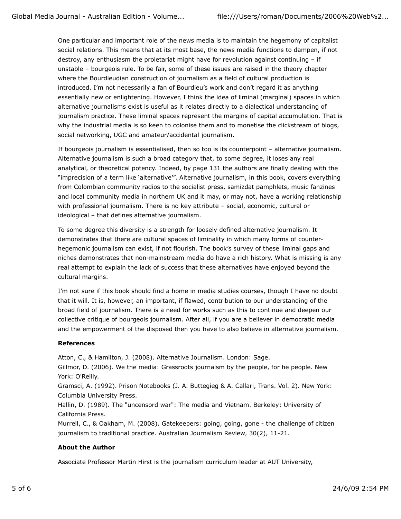One particular and important role of the news media is to maintain the hegemony of capitalist social relations. This means that at its most base, the news media functions to dampen, if not destroy, any enthusiasm the proletariat might have for revolution against continuing – if unstable – bourgeois rule. To be fair, some of these issues are raised in the theory chapter where the Bourdieudian construction of journalism as a field of cultural production is introduced. I'm not necessarily a fan of Bourdieu's work and don't regard it as anything essentially new or enlightening. However, I think the idea of liminal (marginal) spaces in which alternative journalisms exist is useful as it relates directly to a dialectical understanding of journalism practice. These liminal spaces represent the margins of capital accumulation. That is why the industrial media is so keen to colonise them and to monetise the clickstream of blogs, social networking, UGC and amateur/accidental journalism.

If bourgeois journalism is essentialised, then so too is its counterpoint – alternative journalism. Alternative journalism is such a broad category that, to some degree, it loses any real analytical, or theoretical potency. Indeed, by page 131 the authors are finally dealing with the "imprecision of a term like 'alternative'". Alternative journalism, in this book, covers everything from Colombian community radios to the socialist press, samizdat pamphlets, music fanzines and local community media in northern UK and it may, or may not, have a working relationship with professional journalism. There is no key attribute – social, economic, cultural or ideological – that defines alternative journalism.

To some degree this diversity is a strength for loosely defined alternative journalism. It demonstrates that there are cultural spaces of liminality in which many forms of counterhegemonic journalism can exist, if not flourish. The book's survey of these liminal gaps and niches demonstrates that non-mainstream media do have a rich history. What is missing is any real attempt to explain the lack of success that these alternatives have enjoyed beyond the cultural margins.

I'm not sure if this book should find a home in media studies courses, though I have no doubt that it will. It is, however, an important, if flawed, contribution to our understanding of the broad field of journalism. There is a need for works such as this to continue and deepen our collective critique of bourgeois journalism. After all, if you are a believer in democratic media and the empowerment of the disposed then you have to also believe in alternative journalism.

#### **References**

Atton, C., & Hamilton, J. (2008). Alternative Journalism. London: Sage.

Gillmor, D. (2006). We the media: Grassroots journalsm by the people, for he people. New York: O'Reilly.

Gramsci, A. (1992). Prison Notebooks (J. A. Buttegieg & A. Callari, Trans. Vol. 2). New York: Columbia University Press.

Hallin, D. (1989). The "uncensord war": The media and Vietnam. Berkeley: University of California Press.

Murrell, C., & Oakham, M. (2008). Gatekeepers: going, going, gone - the challenge of citizen journalism to traditional practice. Australian Journalism Review, 30(2), 11-21.

### **About the Author**

Associate Professor Martin Hirst is the journalism curriculum leader at AUT University,